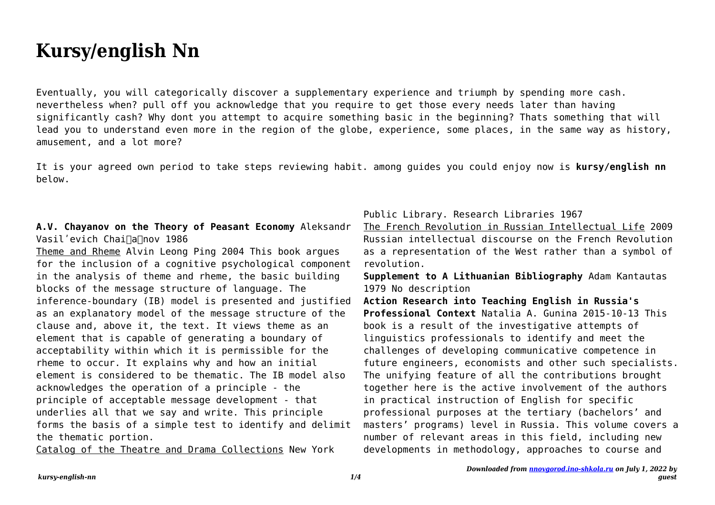## **Kursy/english Nn**

Eventually, you will categorically discover a supplementary experience and triumph by spending more cash. nevertheless when? pull off you acknowledge that you require to get those every needs later than having significantly cash? Why dont you attempt to acquire something basic in the beginning? Thats something that will lead you to understand even more in the region of the globe, experience, some places, in the same way as history, amusement, and a lot more?

It is your agreed own period to take steps reviewing habit. among guides you could enjoy now is **kursy/english nn** below.

## **A.V. Chayanov on the Theory of Peasant Economy** Aleksandr Vasil'evich Chai∏a∏nov 1986

Theme and Rheme Alvin Leong Ping 2004 This book argues for the inclusion of a cognitive psychological component in the analysis of theme and rheme, the basic building blocks of the message structure of language. The inference-boundary (IB) model is presented and justified as an explanatory model of the message structure of the clause and, above it, the text. It views theme as an element that is capable of generating a boundary of acceptability within which it is permissible for the rheme to occur. It explains why and how an initial element is considered to be thematic. The IB model also acknowledges the operation of a principle - the principle of acceptable message development - that underlies all that we say and write. This principle forms the basis of a simple test to identify and delimit the thematic portion.

Catalog of the Theatre and Drama Collections New York

Public Library. Research Libraries 1967

The French Revolution in Russian Intellectual Life 2009 Russian intellectual discourse on the French Revolution as a representation of the West rather than a symbol of revolution.

**Supplement to A Lithuanian Bibliography** Adam Kantautas 1979 No description

**Action Research into Teaching English in Russia's Professional Context** Natalia A. Gunina 2015-10-13 This book is a result of the investigative attempts of linguistics professionals to identify and meet the challenges of developing communicative competence in future engineers, economists and other such specialists. The unifying feature of all the contributions brought together here is the active involvement of the authors in practical instruction of English for specific professional purposes at the tertiary (bachelors' and masters' programs) level in Russia. This volume covers a number of relevant areas in this field, including new developments in methodology, approaches to course and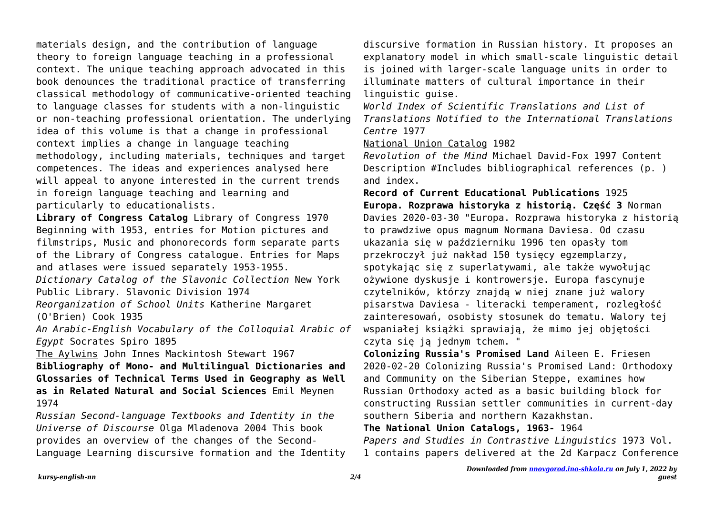materials design, and the contribution of language theory to foreign language teaching in a professional context. The unique teaching approach advocated in this book denounces the traditional practice of transferring classical methodology of communicative-oriented teaching to language classes for students with a non-linguistic or non-teaching professional orientation. The underlying idea of this volume is that a change in professional context implies a change in language teaching methodology, including materials, techniques and target competences. The ideas and experiences analysed here will appeal to anyone interested in the current trends in foreign language teaching and learning and particularly to educationalists.

**Library of Congress Catalog** Library of Congress 1970 Beginning with 1953, entries for Motion pictures and filmstrips, Music and phonorecords form separate parts of the Library of Congress catalogue. Entries for Maps and atlases were issued separately 1953-1955.

*Dictionary Catalog of the Slavonic Collection* New York Public Library. Slavonic Division 1974

*Reorganization of School Units* Katherine Margaret (O'Brien) Cook 1935

*An Arabic-English Vocabulary of the Colloquial Arabic of Egypt* Socrates Spiro 1895

The Aylwins John Innes Mackintosh Stewart 1967

**Bibliography of Mono- and Multilingual Dictionaries and Glossaries of Technical Terms Used in Geography as Well as in Related Natural and Social Sciences** Emil Meynen 1974

*Russian Second-language Textbooks and Identity in the Universe of Discourse* Olga Mladenova 2004 This book provides an overview of the changes of the Second-Language Learning discursive formation and the Identity discursive formation in Russian history. It proposes an explanatory model in which small-scale linguistic detail is joined with larger-scale language units in order to illuminate matters of cultural importance in their linguistic guise.

*World Index of Scientific Translations and List of Translations Notified to the International Translations Centre* 1977

National Union Catalog 1982

*Revolution of the Mind* Michael David-Fox 1997 Content Description #Includes bibliographical references (p. ) and index.

**Record of Current Educational Publications** 1925 **Europa. Rozprawa historyka z historią. Część 3** Norman Davies 2020-03-30 "Europa. Rozprawa historyka z historią to prawdziwe opus magnum Normana Daviesa. Od czasu ukazania się w październiku 1996 ten opasły tom przekroczył już nakład 150 tysięcy egzemplarzy, spotykając się z superlatywami, ale także wywołując ożywione dyskusje i kontrowersje. Europa fascynuje czytelników, którzy znajdą w niej znane już walory pisarstwa Daviesa - literacki temperament, rozległość zainteresowań, osobisty stosunek do tematu. Walory tej wspaniałej książki sprawiają, że mimo jej objętości czyta się ją jednym tchem. "

**Colonizing Russia's Promised Land** Aileen E. Friesen 2020-02-20 Colonizing Russia's Promised Land: Orthodoxy and Community on the Siberian Steppe, examines how Russian Orthodoxy acted as a basic building block for constructing Russian settler communities in current-day southern Siberia and northern Kazakhstan.

**The National Union Catalogs, 1963-** 1964 *Papers and Studies in Contrastive Linguistics* 1973 Vol. 1 contains papers delivered at the 2d Karpacz Conference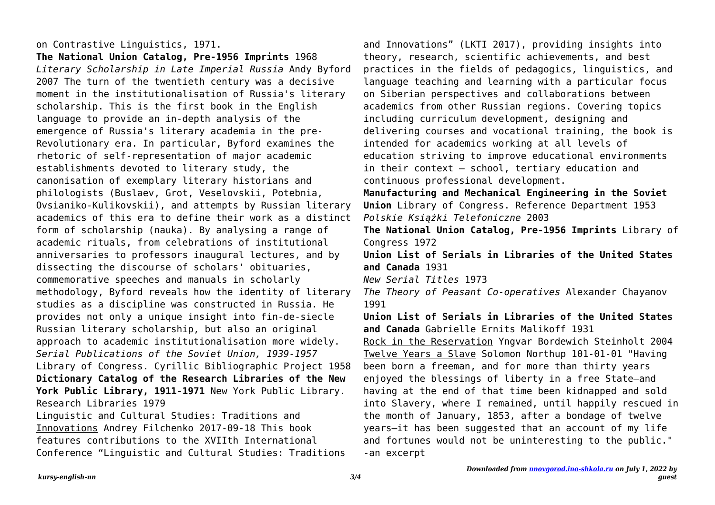## on Contrastive Linguistics, 1971.

**The National Union Catalog, Pre-1956 Imprints** 1968 *Literary Scholarship in Late Imperial Russia* Andy Byford 2007 The turn of the twentieth century was a decisive moment in the institutionalisation of Russia's literary scholarship. This is the first book in the English language to provide an in-depth analysis of the emergence of Russia's literary academia in the pre-Revolutionary era. In particular, Byford examines the rhetoric of self-representation of major academic establishments devoted to literary study, the canonisation of exemplary literary historians and philologists (Buslaev, Grot, Veselovskii, Potebnia, Ovsianiko-Kulikovskii), and attempts by Russian literary academics of this era to define their work as a distinct form of scholarship (nauka). By analysing a range of academic rituals, from celebrations of institutional anniversaries to professors inaugural lectures, and by dissecting the discourse of scholars' obituaries, commemorative speeches and manuals in scholarly methodology, Byford reveals how the identity of literary studies as a discipline was constructed in Russia. He provides not only a unique insight into fin-de-siecle Russian literary scholarship, but also an original approach to academic institutionalisation more widely. *Serial Publications of the Soviet Union, 1939-1957* Library of Congress. Cyrillic Bibliographic Project 1958 **Dictionary Catalog of the Research Libraries of the New York Public Library, 1911-1971** New York Public Library. Research Libraries 1979 Linguistic and Cultural Studies: Traditions and

Innovations Andrey Filchenko 2017-09-18 This book features contributions to the XVIIth International Conference "Linguistic and Cultural Studies: Traditions and Innovations" (LKTI 2017), providing insights into theory, research, scientific achievements, and best practices in the fields of pedagogics, linguistics, and language teaching and learning with a particular focus on Siberian perspectives and collaborations between academics from other Russian regions. Covering topics including curriculum development, designing and delivering courses and vocational training, the book is intended for academics working at all levels of education striving to improve educational environments in their context – school, tertiary education and continuous professional development.

**Manufacturing and Mechanical Engineering in the Soviet Union** Library of Congress. Reference Department 1953 *Polskie Książki Telefoniczne* 2003

**The National Union Catalog, Pre-1956 Imprints** Library of Congress 1972

**Union List of Serials in Libraries of the United States and Canada** 1931

*New Serial Titles* 1973

*The Theory of Peasant Co-operatives* Alexander Chayanov 1991

**Union List of Serials in Libraries of the United States and Canada** Gabrielle Ernits Malikoff 1931

Rock in the Reservation Yngvar Bordewich Steinholt 2004 Twelve Years a Slave Solomon Northup 101-01-01 "Having been born a freeman, and for more than thirty years enjoyed the blessings of liberty in a free State—and having at the end of that time been kidnapped and sold into Slavery, where I remained, until happily rescued in the month of January, 1853, after a bondage of twelve years—it has been suggested that an account of my life and fortunes would not be uninteresting to the public." -an excerpt